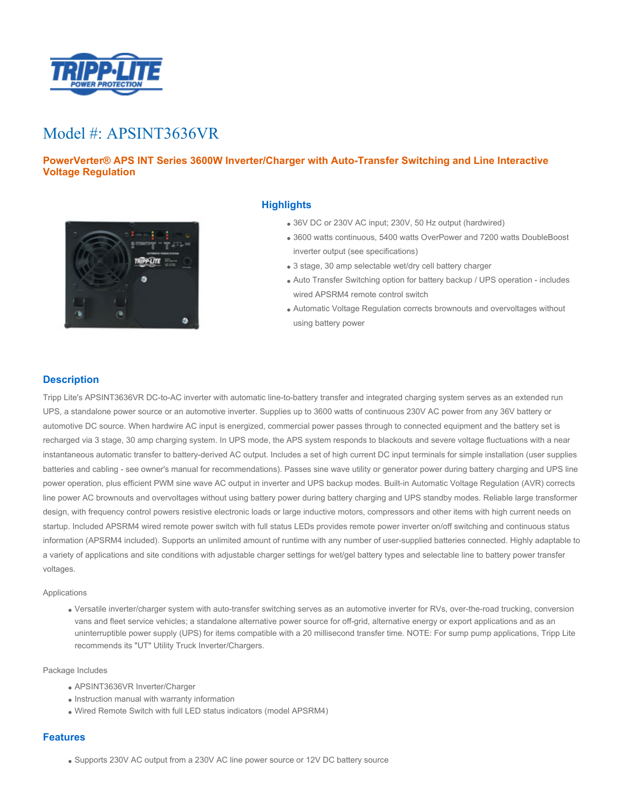

# Model #: APSINT3636VR

## **PowerVerter® APS INT Series 3600W Inverter/Charger with Auto-Transfer Switching and Line Interactive Voltage Regulation**



## **Highlights**

- 36V DC or 230V AC input; 230V, 50 Hz output (hardwired)
- 3600 watts continuous, 5400 watts OverPower and 7200 watts DoubleBoost inverter output (see specifications)
- 3 stage, 30 amp selectable wet/dry cell battery charger
- Auto Transfer Switching option for battery backup / UPS operation includes wired APSRM4 remote control switch
- Automatic Voltage Regulation corrects brownouts and overvoltages without using battery power

## **Description**

Tripp Lite's APSINT3636VR DC-to-AC inverter with automatic line-to-battery transfer and integrated charging system serves as an extended run UPS, a standalone power source or an automotive inverter. Supplies up to 3600 watts of continuous 230V AC power from any 36V battery or automotive DC source. When hardwire AC input is energized, commercial power passes through to connected equipment and the battery set is recharged via 3 stage, 30 amp charging system. In UPS mode, the APS system responds to blackouts and severe voltage fluctuations with a near instantaneous automatic transfer to battery-derived AC output. Includes a set of high current DC input terminals for simple installation (user supplies batteries and cabling - see owner's manual for recommendations). Passes sine wave utility or generator power during battery charging and UPS line power operation, plus efficient PWM sine wave AC output in inverter and UPS backup modes. Built-in Automatic Voltage Regulation (AVR) corrects line power AC brownouts and overvoltages without using battery power during battery charging and UPS standby modes. Reliable large transformer design, with frequency control powers resistive electronic loads or large inductive motors, compressors and other items with high current needs on startup. Included APSRM4 wired remote power switch with full status LEDs provides remote power inverter on/off switching and continuous status information (APSRM4 included). Supports an unlimited amount of runtime with any number of user-supplied batteries connected. Highly adaptable to a variety of applications and site conditions with adjustable charger settings for wet/gel battery types and selectable line to battery power transfer voltages.

#### Applications

Versatile inverter/charger system with auto-transfer switching serves as an automotive inverter for RVs, over-the-road trucking, conversion vans and fleet service vehicles; a standalone alternative power source for off-grid, alternative energy or export applications and as an uninterruptible power supply (UPS) for items compatible with a 20 millisecond transfer time. NOTE: For sump pump applications, Tripp Lite recommends its "UT" Utility Truck Inverter/Chargers.

#### Package Includes

- APSINT3636VR Inverter/Charger
- Instruction manual with warranty information
- Wired Remote Switch with full LED status indicators (model APSRM4)

### **Features**

Supports 230V AC output from a 230V AC line power source or 12V DC battery source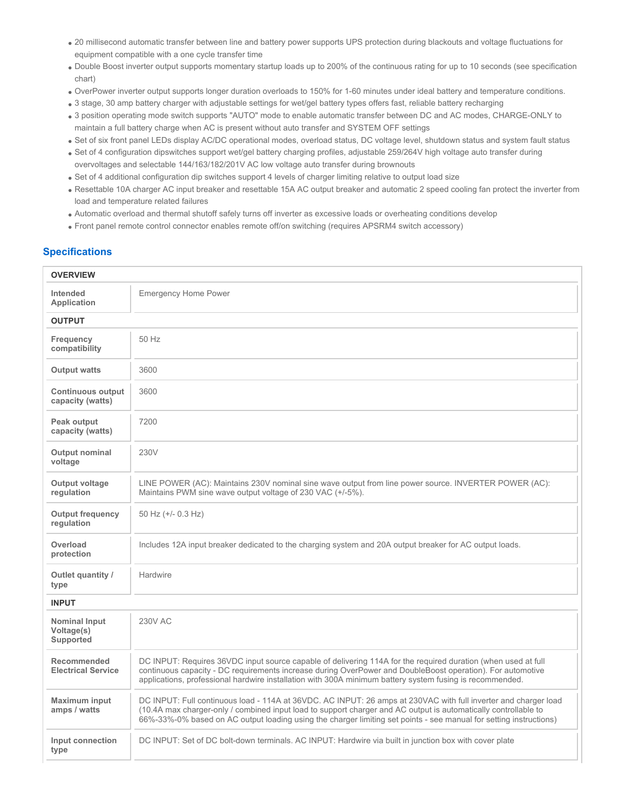- 20 millisecond automatic transfer between line and battery power supports UPS protection during blackouts and voltage fluctuations for equipment compatible with a one cycle transfer time
- Double Boost inverter output supports momentary startup loads up to 200% of the continuous rating for up to 10 seconds (see specification chart)
- OverPower inverter output supports longer duration overloads to 150% for 1-60 minutes under ideal battery and temperature conditions.
- . 3 stage, 30 amp battery charger with adjustable settings for wet/gel battery types offers fast, reliable battery recharging
- 3 position operating mode switch supports "AUTO" mode to enable automatic transfer between DC and AC modes, CHARGE-ONLY to maintain a full battery charge when AC is present without auto transfer and SYSTEM OFF settings
- Set of six front panel LEDs display AC/DC operational modes, overload status, DC voltage level, shutdown status and system fault status
- Set of 4 configuration dipswitches support wet/gel battery charging profiles, adjustable 259/264V high voltage auto transfer during overvoltages and selectable 144/163/182/201V AC low voltage auto transfer during brownouts
- Set of 4 additional configuration dip switches support 4 levels of charger limiting relative to output load size
- Resettable 10A charger AC input breaker and resettable 15A AC output breaker and automatic 2 speed cooling fan protect the inverter from load and temperature related failures
- Automatic overload and thermal shutoff safely turns off inverter as excessive loads or overheating conditions develop
- Front panel remote control connector enables remote off/on switching (requires APSRM4 switch accessory)

## **Specifications**

| <b>OVERVIEW</b>                                 |                                                                                                                                                                                                                                                                                                                                                          |  |
|-------------------------------------------------|----------------------------------------------------------------------------------------------------------------------------------------------------------------------------------------------------------------------------------------------------------------------------------------------------------------------------------------------------------|--|
| Intended<br><b>Application</b>                  | <b>Emergency Home Power</b>                                                                                                                                                                                                                                                                                                                              |  |
| <b>OUTPUT</b>                                   |                                                                                                                                                                                                                                                                                                                                                          |  |
| Frequency<br>compatibility                      | 50 Hz                                                                                                                                                                                                                                                                                                                                                    |  |
| <b>Output watts</b>                             | 3600                                                                                                                                                                                                                                                                                                                                                     |  |
| <b>Continuous output</b><br>capacity (watts)    | 3600                                                                                                                                                                                                                                                                                                                                                     |  |
| Peak output<br>capacity (watts)                 | 7200                                                                                                                                                                                                                                                                                                                                                     |  |
| <b>Output nominal</b><br>voltage                | 230V                                                                                                                                                                                                                                                                                                                                                     |  |
| Output voltage<br>regulation                    | LINE POWER (AC): Maintains 230V nominal sine wave output from line power source. INVERTER POWER (AC):<br>Maintains PWM sine wave output voltage of 230 VAC (+/-5%).                                                                                                                                                                                      |  |
| <b>Output frequency</b><br>regulation           | 50 Hz (+/- 0.3 Hz)                                                                                                                                                                                                                                                                                                                                       |  |
| Overload<br>protection                          | Includes 12A input breaker dedicated to the charging system and 20A output breaker for AC output loads.                                                                                                                                                                                                                                                  |  |
| Outlet quantity /<br>type                       | Hardwire                                                                                                                                                                                                                                                                                                                                                 |  |
| <b>INPUT</b>                                    |                                                                                                                                                                                                                                                                                                                                                          |  |
| <b>Nominal Input</b><br>Voltage(s)<br>Supported | <b>230V AC</b>                                                                                                                                                                                                                                                                                                                                           |  |
| <b>Recommended</b><br><b>Electrical Service</b> | DC INPUT: Requires 36VDC input source capable of delivering 114A for the required duration (when used at full<br>continuous capacity - DC requirements increase during OverPower and DoubleBoost operation). For automotive<br>applications, professional hardwire installation with 300A minimum battery system fusing is recommended.                  |  |
| <b>Maximum input</b><br>amps / watts            | DC INPUT: Full continuous load - 114A at 36VDC. AC INPUT: 26 amps at 230VAC with full inverter and charger load<br>(10.4A max charger-only / combined input load to support charger and AC output is automatically controllable to<br>66%-33%-0% based on AC output loading using the charger limiting set points - see manual for setting instructions) |  |
| Input connection<br>type                        | DC INPUT: Set of DC bolt-down terminals. AC INPUT: Hardwire via built in junction box with cover plate                                                                                                                                                                                                                                                   |  |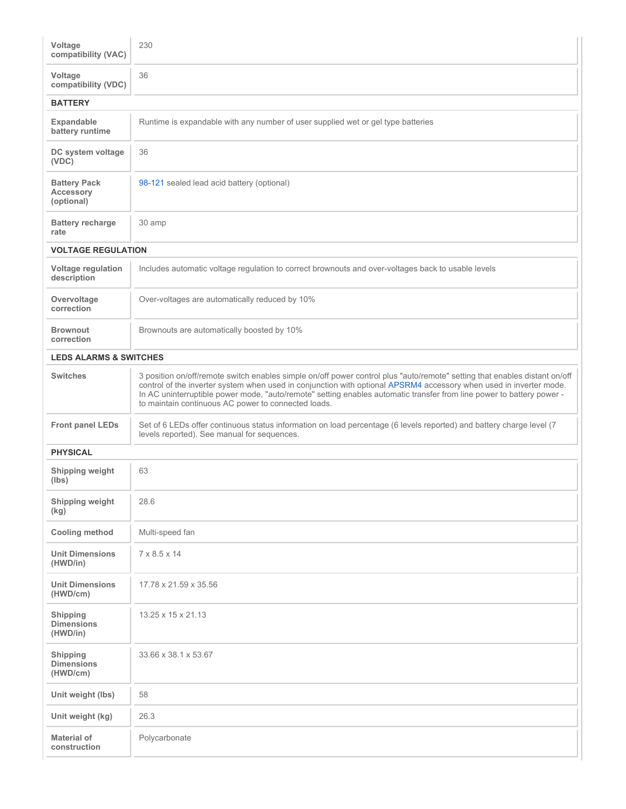| Voltage<br>compatibility (VAC)                        | 230                                                                                                                                                                                                                                                                                                                                                                                                                              |
|-------------------------------------------------------|----------------------------------------------------------------------------------------------------------------------------------------------------------------------------------------------------------------------------------------------------------------------------------------------------------------------------------------------------------------------------------------------------------------------------------|
| Voltage<br>compatibility (VDC)                        | 36                                                                                                                                                                                                                                                                                                                                                                                                                               |
| <b>BATTERY</b>                                        |                                                                                                                                                                                                                                                                                                                                                                                                                                  |
| <b>Expandable</b><br>battery runtime                  | Runtime is expandable with any number of user supplied wet or gel type batteries                                                                                                                                                                                                                                                                                                                                                 |
| DC system voltage<br>(VDC)                            | 36                                                                                                                                                                                                                                                                                                                                                                                                                               |
| <b>Battery Pack</b><br><b>Accessory</b><br>(optional) | 98-121 sealed lead acid battery (optional)                                                                                                                                                                                                                                                                                                                                                                                       |
| <b>Battery recharge</b><br>rate                       | 30 amp                                                                                                                                                                                                                                                                                                                                                                                                                           |
| <b>VOLTAGE REGULATION</b>                             |                                                                                                                                                                                                                                                                                                                                                                                                                                  |
| Voltage regulation<br>description                     | Includes automatic voltage regulation to correct brownouts and over-voltages back to usable levels                                                                                                                                                                                                                                                                                                                               |
| Overvoltage<br>correction                             | Over-voltages are automatically reduced by 10%                                                                                                                                                                                                                                                                                                                                                                                   |
| <b>Brownout</b><br>correction                         | Brownouts are automatically boosted by 10%                                                                                                                                                                                                                                                                                                                                                                                       |
| <b>LEDS ALARMS &amp; SWITCHES</b>                     |                                                                                                                                                                                                                                                                                                                                                                                                                                  |
| <b>Switches</b>                                       | 3 position on/off/remote switch enables simple on/off power control plus "auto/remote" setting that enables distant on/off<br>control of the inverter system when used in conjunction with optional APSRM4 accessory when used in inverter mode.<br>In AC uninterruptible power mode, "auto/remote" setting enables automatic transfer from line power to battery power -<br>to maintain continuous AC power to connected loads. |
| <b>Front panel LEDs</b>                               | Set of 6 LEDs offer continuous status information on load percentage (6 levels reported) and battery charge level (7<br>levels reported). See manual for sequences.                                                                                                                                                                                                                                                              |
| <b>PHYSICAL</b>                                       |                                                                                                                                                                                                                                                                                                                                                                                                                                  |
| Shipping weight<br>(lbs)                              | 63                                                                                                                                                                                                                                                                                                                                                                                                                               |
| Shipping weight<br>(kg)                               | 28.6                                                                                                                                                                                                                                                                                                                                                                                                                             |
| <b>Cooling method</b>                                 | Multi-speed fan                                                                                                                                                                                                                                                                                                                                                                                                                  |
| <b>Unit Dimensions</b><br>(HWD/in)                    | $7 \times 8.5 \times 14$                                                                                                                                                                                                                                                                                                                                                                                                         |
| <b>Unit Dimensions</b><br>(HWD/cm)                    | 17.78 x 21.59 x 35.56                                                                                                                                                                                                                                                                                                                                                                                                            |
| Shipping<br><b>Dimensions</b><br>(HWD/in)             | 13.25 x 15 x 21.13                                                                                                                                                                                                                                                                                                                                                                                                               |
| <b>Shipping</b><br><b>Dimensions</b><br>(HWD/cm)      | 33.66 x 38.1 x 53.67                                                                                                                                                                                                                                                                                                                                                                                                             |
| Unit weight (lbs)                                     | 58                                                                                                                                                                                                                                                                                                                                                                                                                               |
| Unit weight (kg)                                      | 26.3                                                                                                                                                                                                                                                                                                                                                                                                                             |
| Material of<br>construction                           | Polycarbonate                                                                                                                                                                                                                                                                                                                                                                                                                    |